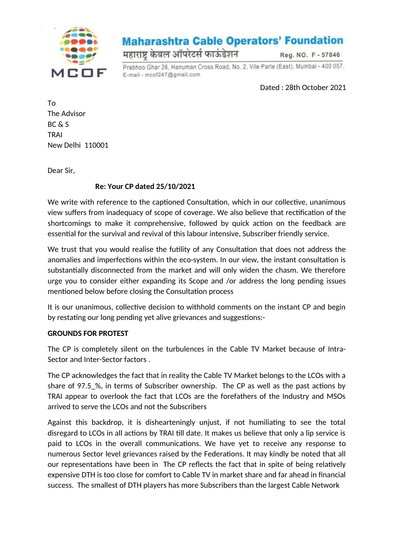

## **Maharashtra Cable Operators' Foundation**

महाराष्ट्र केबल ऑपरेटर्स फाऊंडेशन

Reg. NO. F - 57846

Prabhoo Ghar 26, Hanuman Cross Road, No. 2, Vile Parle (East), Mumbai - 400 057. E-mail - mcof247@gmail.com

Dated : 28th October 2021

To The Advisor BC & S TRAI New Delhi 110001

Dear Sir,

## **Re: Your CP dated 25/10/2021**

We write with reference to the captioned Consultation, which in our collective, unanimous view suffers from inadequacy of scope of coverage. We also believe that rectification of the shortcomings to make it comprehensive, followed by quick action on the feedback are essential for the survival and revival of this labour intensive, Subscriber friendly service.

We trust that you would realise the futility of any Consultation that does not address the anomalies and imperfections within the eco-system. In our view, the instant consultation is substantially disconnected from the market and will only widen the chasm. We therefore urge you to consider either expanding its Scope and /or address the long pending issues mentioned below before closing the Consultation process

It is our unanimous, collective decision to withhold comments on the instant CP and begin by restating our long pending yet alive grievances and suggestions:-

## **GROUNDS FOR PROTEST**

The CP is completely silent on the turbulences in the Cable TV Market because of Intra-Sector and Inter-Sector factors .

The CP acknowledges the fact that in reality the Cable TV Market belongs to the LCOs with a share of 97.5\_%, in terms of Subscriber ownership. The CP as well as the past actions by TRAI appear to overlook the fact that LCOs are the forefathers of the Industry and MSOs arrived to serve the LCOs and not the Subscribers

Against this backdrop, it is dishearteningly unjust, if not humiliating to see the total disregard to LCOs in all actions by TRAI till date. It makes us believe that only a lip service is paid to LCOs in the overall communications. We have yet to receive any response to numerous Sector level grievances raised by the Federations. It may kindly be noted that all our representations have been in The CP reflects the fact that in spite of being relatively expensive DTH is too close for comfort to Cable TV in market share and far ahead in financial success. The smallest of DTH players has more Subscribers than the largest Cable Network